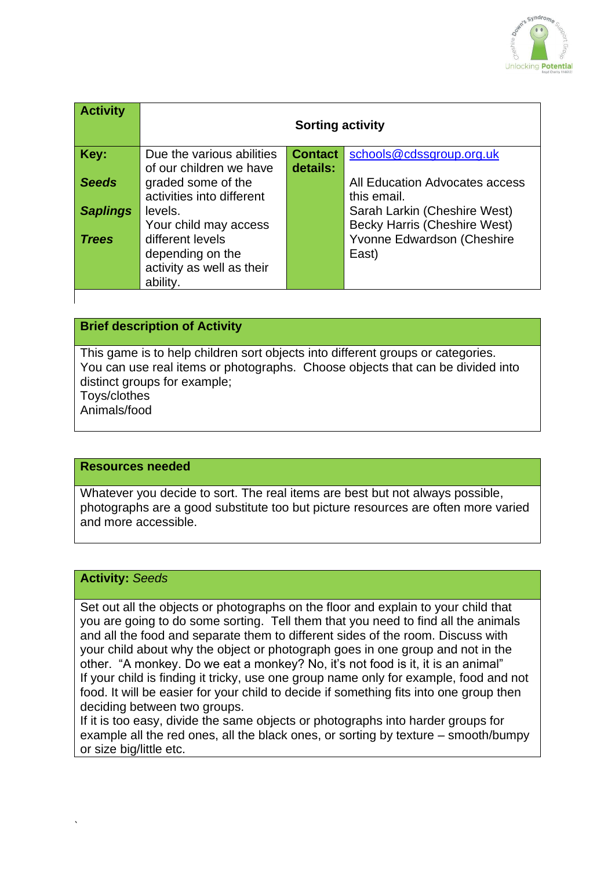

| <b>Activity</b> | <b>Sorting activity</b>   |                |                                     |
|-----------------|---------------------------|----------------|-------------------------------------|
| Key:            | Due the various abilities | <b>Contact</b> | schools@cdssgroup.org.uk            |
|                 | of our children we have   | details:       |                                     |
| <b>Seeds</b>    | graded some of the        |                | All Education Advocates access      |
|                 | activities into different |                | this email.                         |
| <b>Saplings</b> | levels.                   |                | Sarah Larkin (Cheshire West)        |
|                 | Your child may access     |                | <b>Becky Harris (Cheshire West)</b> |
| <b>Trees</b>    | different levels          |                | Yvonne Edwardson (Cheshire          |
|                 | depending on the          |                | East)                               |
|                 | activity as well as their |                |                                     |
|                 | ability.                  |                |                                     |
|                 |                           |                |                                     |

## **Brief description of Activity**

This game is to help children sort objects into different groups or categories. You can use real items or photographs. Choose objects that can be divided into distinct groups for example; Toys/clothes

Animals/food

#### **Resources needed**

Whatever you decide to sort. The real items are best but not always possible, photographs are a good substitute too but picture resources are often more varied and more accessible.

## **Activity:** *Seeds*

`

Set out all the objects or photographs on the floor and explain to your child that you are going to do some sorting. Tell them that you need to find all the animals and all the food and separate them to different sides of the room. Discuss with your child about why the object or photograph goes in one group and not in the other. "A monkey. Do we eat a monkey? No, it's not food is it, it is an animal" If your child is finding it tricky, use one group name only for example, food and not food. It will be easier for your child to decide if something fits into one group then deciding between two groups.

If it is too easy, divide the same objects or photographs into harder groups for example all the red ones, all the black ones, or sorting by texture – smooth/bumpy or size big/little etc.